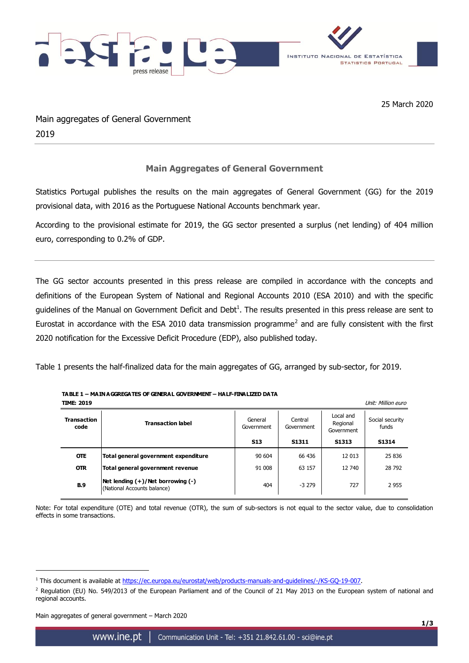

25 March 2020

Main aggregates of General Government 2019

## **Main Aggregates of General Government**

Statistics Portugal publishes the results on the main aggregates of General Government (GG) for the 2019 provisional data, with 2016 as the Portuguese National Accounts benchmark year.

According to the provisional estimate for 2019, the GG sector presented a surplus (net lending) of 404 million euro, corresponding to 0.2% of GDP.

The GG sector accounts presented in this press release are compiled in accordance with the concepts and definitions of the European System of National and Regional Accounts 2010 (ESA 2010) and with the specific guidelines of the Manual on Government Deficit and Debt<sup>1</sup>. The results presented in this press release are sent to Eurostat in accordance with the ESA 2010 data transmission programme<sup>2</sup> and are fully consistent with the first 2020 notification for the Excessive Deficit Procedure (EDP), also published today.

Table 1 presents the half-finalized data for the main aggregates of GG, arranged by sub-sector, for 2019.

## **TABLE 1 – MAIN AGGREGATES OF GENERAL GOVERNMENT – HALF-FINALIZED DATA**

| <b>TIME: 2019</b><br>Unit: Million euro |                                                                       |                       |                       |                                     |                          |  |
|-----------------------------------------|-----------------------------------------------------------------------|-----------------------|-----------------------|-------------------------------------|--------------------------|--|
| <b>Transaction</b><br>code              | <b>Transaction label</b>                                              | General<br>Government | Central<br>Government | Local and<br>Regional<br>Government | Social security<br>funds |  |
|                                         |                                                                       | <b>S13</b>            | S1311                 | S1313                               | S1314                    |  |
| <b>OTE</b>                              | Total general government expenditure                                  | 90 604                | 66 436                | 12 013                              | 25 836                   |  |
| <b>OTR</b>                              | Total general government revenue                                      | 91 008                | 63 157                | 12 740                              | 28 792                   |  |
| <b>B.9</b>                              | Net lending $(+)/$ Net borrowing $(-)$<br>(National Accounts balance) | 404                   | $-3279$               | 727                                 | 2955                     |  |

Note: For total expenditure (OTE) and total revenue (OTR), the sum of sub-sectors is not equal to the sector value, due to consolidation effects in some transactions.

Main aggregates of general government – March 2020

1

<sup>&</sup>lt;sup>1</sup> This document is available at [https://ec.europa.eu/eurostat/web/products-manuals-and-guidelines/-/KS-GQ-19-007.](https://ec.europa.eu/eurostat/web/products-manuals-and-guidelines/-/KS-GQ-19-007)

 $2$  Regulation (EU) No. 549/2013 of the European Parliament and of the Council of 21 May 2013 on the European system of national and regional accounts.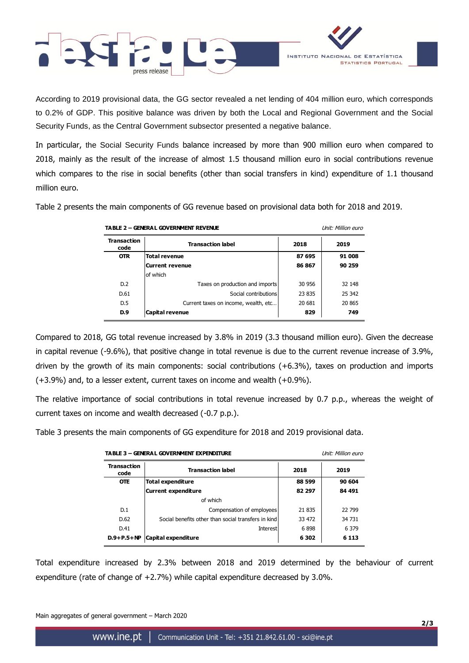

According to 2019 provisional data, the GG sector revealed a net lending of 404 million euro, which corresponds to 0.2% of GDP. This positive balance was driven by both the Local and Regional Government and the Social Security Funds, as the Central Government subsector presented a negative balance.

In particular, the Social Security Funds balance increased by more than 900 million euro when compared to 2018, mainly as the result of the increase of almost 1.5 thousand million euro in social contributions revenue which compares to the rise in social benefits (other than social transfers in kind) expenditure of 1.1 thousand million euro.

Table 2 presents the main components of GG revenue based on provisional data both for 2018 and 2019.

| <b>TABLE 2 - GENERAL GOVERNMENT REVENUE</b> |                                      |        | Unit: Million euro |  |
|---------------------------------------------|--------------------------------------|--------|--------------------|--|
| <b>Transaction</b><br>code                  | <b>Transaction label</b>             | 2018   | 2019               |  |
| <b>OTR</b>                                  | <b>Total revenue</b>                 | 87 695 | 91 008             |  |
|                                             | <b>Current revenue</b>               | 86867  | 90 259             |  |
|                                             | of which                             |        |                    |  |
| D.2                                         | Taxes on production and imports      | 30 956 | 32 148             |  |
| D.61                                        | Social contributions                 | 23 835 | 25 342             |  |
| D.5                                         | Current taxes on income, wealth, etc | 20 681 | 20 865             |  |
| D.9                                         | <b>Capital revenue</b>               | 829    | 749                |  |

Compared to 2018, GG total revenue increased by 3.8% in 2019 (3.3 thousand million euro). Given the decrease in capital revenue (-9.6%), that positive change in total revenue is due to the current revenue increase of 3.9%, driven by the growth of its main components: social contributions (+6.3%), taxes on production and imports (+3.9%) and, to a lesser extent, current taxes on income and wealth (+0.9%).

The relative importance of social contributions in total revenue increased by 0.7 p.p., whereas the weight of current taxes on income and wealth decreased (-0.7 p.p.).

Table 3 presents the main components of GG expenditure for 2018 and 2019 provisional data.

| <b>Transaction</b><br>code | <b>TABLE 3 - GENERAL GOVERNMENT EXPENDITURE</b><br><b>Transaction label</b> | 2018    | Unit: Million euro<br>2019 |
|----------------------------|-----------------------------------------------------------------------------|---------|----------------------------|
| <b>OTE</b>                 | <b>Total expenditure</b>                                                    | 88 599  | 90 604                     |
|                            | <b>Current expenditure</b>                                                  | 82 297  | 84 491                     |
|                            | of which                                                                    |         |                            |
| D.1                        | Compensation of employees                                                   | 21 835  | 22799                      |
| D.62                       | Social benefits other than social transfers in kind                         | 33 472  | 34 731                     |
| D.41                       | <b>Interest</b>                                                             | 6898    | 6 3 7 9                    |
| $D.9+P.5+NP$               | Capital expenditure                                                         | 6 3 0 2 | 6 1 1 3                    |

Total expenditure increased by 2.3% between 2018 and 2019 determined by the behaviour of current expenditure (rate of change of  $+2.7\%$ ) while capital expenditure decreased by 3.0%.

Main aggregates of general government – March 2020